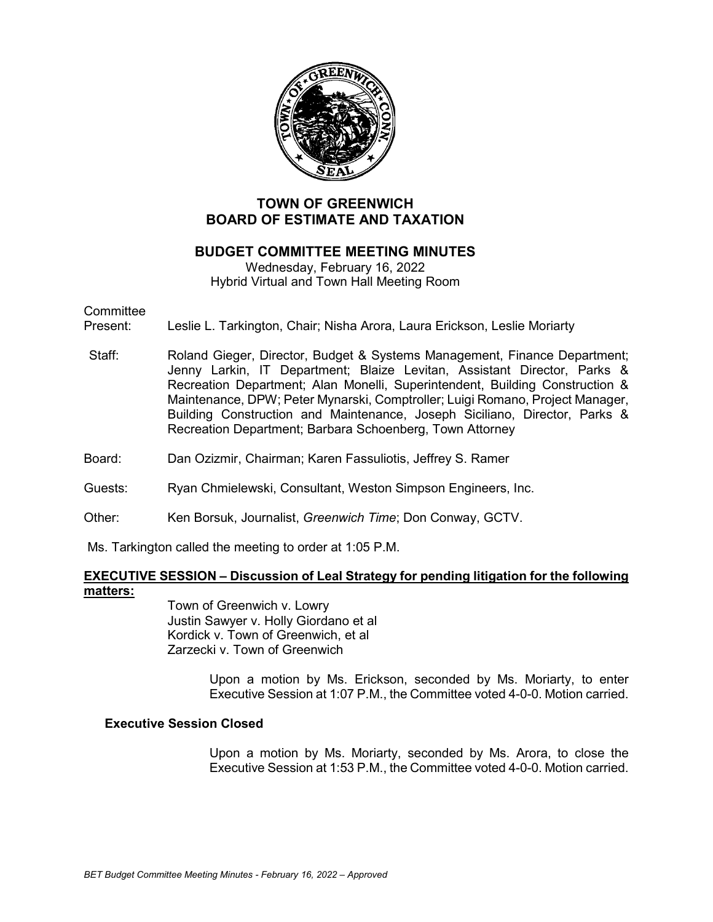

# **TOWN OF GREENWICH BOARD OF ESTIMATE AND TAXATION**

# **BUDGET COMMITTEE MEETING MINUTES**

Wednesday, February 16, 2022 Hybrid Virtual and Town Hall Meeting Room

# **Committee**

Present: Leslie L. Tarkington, Chair; Nisha Arora, Laura Erickson, Leslie Moriarty

- Staff: Roland Gieger, Director, Budget & Systems Management, Finance Department; Jenny Larkin, IT Department; Blaize Levitan, Assistant Director, Parks & Recreation Department; Alan Monelli, Superintendent, Building Construction & Maintenance, DPW; Peter Mynarski, Comptroller; Luigi Romano, Project Manager, Building Construction and Maintenance, Joseph Siciliano, Director, Parks & Recreation Department; Barbara Schoenberg, Town Attorney
- Board: Dan Ozizmir, Chairman; Karen Fassuliotis, Jeffrey S. Ramer

### Guests: Ryan Chmielewski, Consultant, Weston Simpson Engineers, Inc.

### Other: Ken Borsuk, Journalist, *Greenwich Time*; Don Conway, GCTV.

Ms. Tarkington called the meeting to order at 1:05 P.M.

### **EXECUTIVE SESSION – Discussion of Leal Strategy for pending litigation for the following matters:**

Town of Greenwich v. Lowry Justin Sawyer v. Holly Giordano et al Kordick v. Town of Greenwich, et al Zarzecki v. Town of Greenwich

> Upon a motion by Ms. Erickson, seconded by Ms. Moriarty, to enter Executive Session at 1:07 P.M., the Committee voted 4-0-0. Motion carried.

### **Executive Session Closed**

Upon a motion by Ms. Moriarty, seconded by Ms. Arora, to close the Executive Session at 1:53 P.M., the Committee voted 4-0-0. Motion carried.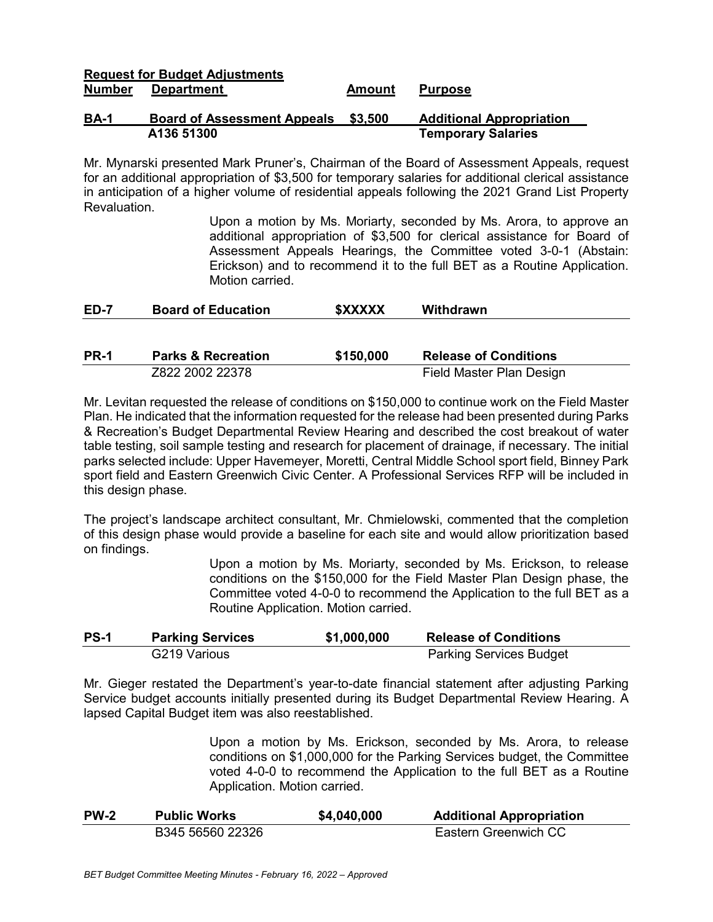### **Request for Budget Adjustments Department Amount Purpose**

### **BA-1 Board of Assessment Appeals \$3,500 Additional Appropriation A136 51300 Temporary Salaries**

Mr. Mynarski presented Mark Pruner's, Chairman of the Board of Assessment Appeals, request for an additional appropriation of \$3,500 for temporary salaries for additional clerical assistance in anticipation of a higher volume of residential appeals following the 2021 Grand List Property Revaluation.

> Upon a motion by Ms. Moriarty, seconded by Ms. Arora, to approve an additional appropriation of \$3,500 for clerical assistance for Board of Assessment Appeals Hearings, the Committee voted 3-0-1 (Abstain: Erickson) and to recommend it to the full BET as a Routine Application. Motion carried.

| <b>ED-7</b> | <b>Board of Education</b> | <b><i>\$XXXXX</i></b> | Withdrawn |
|-------------|---------------------------|-----------------------|-----------|
|             |                           |                       |           |

| <b>PR-1</b> | <b>Parks &amp; Recreation</b> | \$150,000 | <b>Release of Conditions</b> |
|-------------|-------------------------------|-----------|------------------------------|
|             | Z822 2002 22378               |           | Field Master Plan Design     |

Mr. Levitan requested the release of conditions on \$150,000 to continue work on the Field Master Plan. He indicated that the information requested for the release had been presented during Parks & Recreation's Budget Departmental Review Hearing and described the cost breakout of water table testing, soil sample testing and research for placement of drainage, if necessary. The initial parks selected include: Upper Havemeyer, Moretti, Central Middle School sport field, Binney Park sport field and Eastern Greenwich Civic Center. A Professional Services RFP will be included in this design phase.

The project's landscape architect consultant, Mr. Chmielowski, commented that the completion of this design phase would provide a baseline for each site and would allow prioritization based on findings.

> Upon a motion by Ms. Moriarty, seconded by Ms. Erickson, to release conditions on the \$150,000 for the Field Master Plan Design phase, the Committee voted 4-0-0 to recommend the Application to the full BET as a Routine Application. Motion carried.

| <b>PS-1</b> | <b>Parking Services</b> | \$1,000,000 | <b>Release of Conditions</b>   |
|-------------|-------------------------|-------------|--------------------------------|
|             | G219 Various            |             | <b>Parking Services Budget</b> |

Mr. Gieger restated the Department's year-to-date financial statement after adjusting Parking Service budget accounts initially presented during its Budget Departmental Review Hearing. A lapsed Capital Budget item was also reestablished.

> Upon a motion by Ms. Erickson, seconded by Ms. Arora, to release conditions on \$1,000,000 for the Parking Services budget, the Committee voted 4-0-0 to recommend the Application to the full BET as a Routine Application. Motion carried.

| <b>PW-2</b> | <b>Public Works</b> | \$4,040,000 | <b>Additional Appropriation</b> |
|-------------|---------------------|-------------|---------------------------------|
|             | B345 56560 22326    |             | Eastern Greenwich CC            |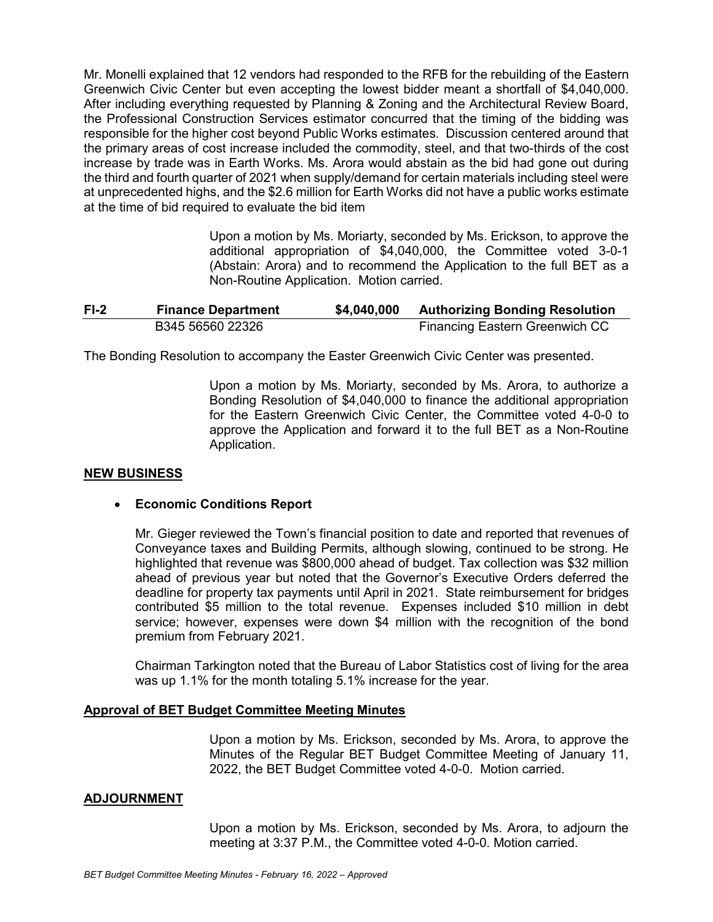Mr. Monelli explained that 12 vendors had responded to the RFB for the rebuilding of the Eastern Greenwich Civic Center but even accepting the lowest bidder meant a shortfall of \$4,040,000. After including everything requested by Planning & Zoning and the Architectural Review Board, the Professional Construction Services estimator concurred that the timing of the bidding was responsible for the higher cost beyond Public Works estimates. Discussion centered around that the primary areas of cost increase included the commodity, steel, and that two-thirds of the cost increase by trade was in Earth Works. Ms. Arora would abstain as the bid had gone out during the third and fourth quarter of 2021 when supply/demand for certain materials including steel were at unprecedented highs, and the \$2.6 million for Earth Works did not have a public works estimate at the time of bid required to evaluate the bid item

> Upon a motion by Ms. Moriarty, seconded by Ms. Erickson, to approve the additional appropriation of \$4,040,000, the Committee voted 3-0-1 (Abstain: Arora) and to recommend the Application to the full BET as a Non-Routine Application. Motion carried.

| $F1-2$ | <b>Finance Department</b> | \$4,040,000 | <b>Authorizing Bonding Resolution</b> |
|--------|---------------------------|-------------|---------------------------------------|
|        | B345 56560 22326          |             | <b>Financing Eastern Greenwich CC</b> |

The Bonding Resolution to accompany the Easter Greenwich Civic Center was presented.

Upon a motion by Ms. Moriarty, seconded by Ms. Arora, to authorize a Bonding Resolution of \$4,040,000 to finance the additional appropriation for the Eastern Greenwich Civic Center, the Committee voted 4-0-0 to approve the Application and forward it to the full BET as a Non-Routine Application.

### **NEW BUSINESS**

### • **Economic Conditions Report**

Mr. Gieger reviewed the Town's financial position to date and reported that revenues of Conveyance taxes and Building Permits, although slowing, continued to be strong. He highlighted that revenue was \$800,000 ahead of budget. Tax collection was \$32 million ahead of previous year but noted that the Governor's Executive Orders deferred the deadline for property tax payments until April in 2021. State reimbursement for bridges contributed \$5 million to the total revenue. Expenses included \$10 million in debt service; however, expenses were down \$4 million with the recognition of the bond premium from February 2021.

Chairman Tarkington noted that the Bureau of Labor Statistics cost of living for the area was up 1.1% for the month totaling 5.1% increase for the year.

### **Approval of BET Budget Committee Meeting Minutes**

Upon a motion by Ms. Erickson, seconded by Ms. Arora, to approve the Minutes of the Regular BET Budget Committee Meeting of January 11, 2022, the BET Budget Committee voted 4-0-0. Motion carried.

### **ADJOURNMENT**

Upon a motion by Ms. Erickson, seconded by Ms. Arora, to adjourn the meeting at 3:37 P.M., the Committee voted 4-0-0. Motion carried.